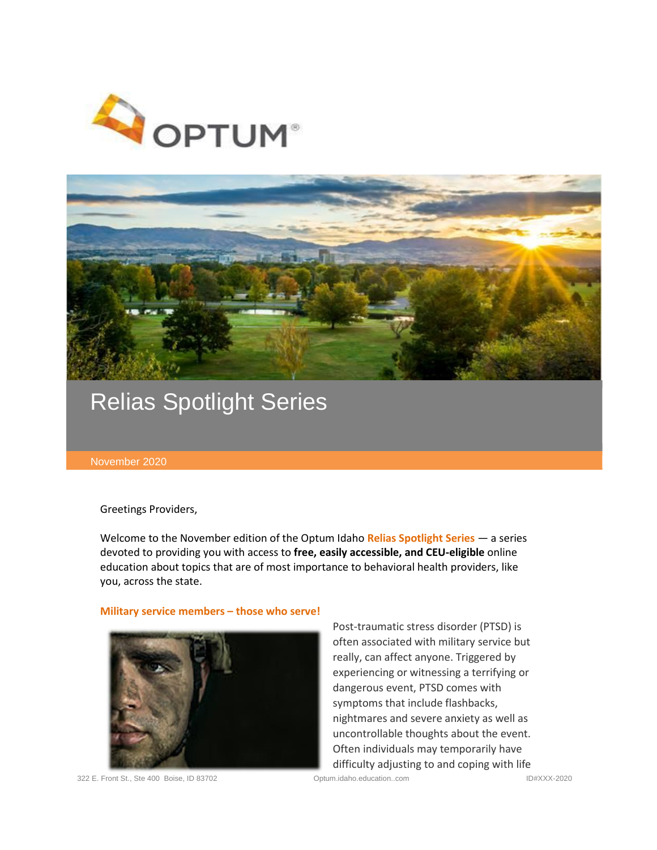



# Relias Spotlight Series

#### November 2020

Greetings Providers,

Welcome to the November edition of the Optum Idaho **Relias Spotlight Series** — a series devoted to providing you with access to **free, easily accessible, and CEU-eligible** online education about topics that are of most importance to behavioral health providers, like you, across the state.

# **Military service members – those who serve!**



Post-traumatic stress disorder (PTSD) is often associated with military service but really, can affect anyone. Triggered by experiencing or witnessing a terrifying or dangerous event, PTSD comes with symptoms that include flashbacks, nightmares and severe anxiety as well as uncontrollable thoughts about the event. Often individuals may temporarily have difficulty adjusting to and coping with life

322 E. Front St., Ste 400 Boise, ID 83702 Optum.idaho.education..com ID#XXX-2020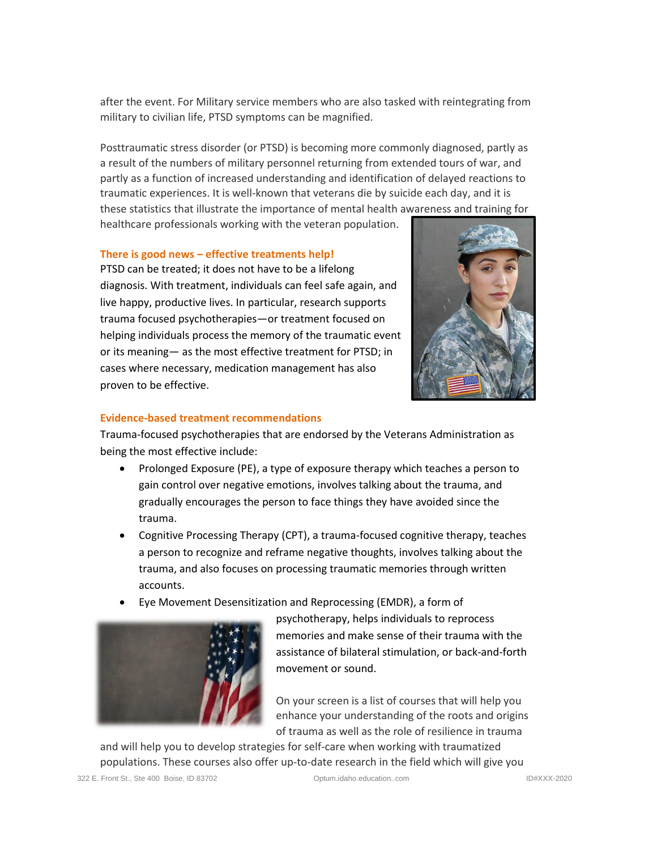after the event. For Military service members who are also tasked with reintegrating from military to civilian life, PTSD symptoms can be magnified.

Posttraumatic stress disorder (or PTSD) is becoming more commonly diagnosed, partly as a result of the numbers of military personnel returning from extended tours of war, and partly as a function of increased understanding and identification of delayed reactions to traumatic experiences. It is well-known that veterans die by suicide each day, and it is these statistics that illustrate the importance of mental health awareness and training for healthcare professionals working with the veteran population.

### **There is good news – effective treatments help!**

PTSD can be treated; it does not have to be a lifelong diagnosis. With treatment, individuals can feel safe again, and live happy, productive lives. In particular, research supports trauma focused psychotherapies—or treatment focused on helping individuals process the memory of the traumatic event or its meaning— as the most effective treatment for PTSD; in cases where necessary, medication management has also proven to be effective.



# **Evidence-based treatment recommendations**

Trauma-focused psychotherapies that are endorsed by the Veterans Administration as being the most effective include:

- [Prolonged Exposure \(PE\),](https://www.ptsd.va.gov/understand_tx/prolonged_exposure.asp) a type of exposure therapy which teaches a person to gain control over negative emotions, involves talking about the trauma, and gradually encourages the person to face things they have avoided since the trauma.
- [Cognitive Processing Therapy \(CPT\),](https://www.ptsd.va.gov/understand_tx/cognitive_processing.asp) a trauma-focused cognitive therapy, teaches a person to recognize and reframe negative thoughts, involves talking about the trauma, and also focuses on processing traumatic memories through written accounts.
- [Eye Movement Desensitization and Reprocessing \(EMDR\),](https://www.ptsd.va.gov/understand_tx/emdr.asp) a form of



psychotherapy, helps individuals to reprocess memories and make sense of their trauma with the assistance of bilateral stimulation, or back-and-forth movement or sound.

On your screen is a list of courses that will help you enhance your understanding of the roots and origins of trauma as well as the role of resilience in trauma

and will help you to develop strategies for self-care when working with traumatized populations. These courses also offer up-to-date research in the field which will give you